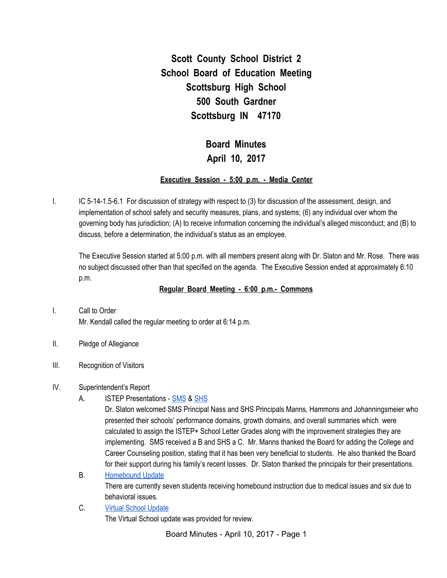**Scott County School District 2 School Board of Education Meeting Scottsburg High School 500 South Gardner Scottsburg IN 47170**

# **Board Minutes April 10, 2017**

#### **Executive Session - 5:00 p.m. - Media Center**

I. IC 5-14-1.5-6.1 For discussion of strategy with respect to (3) for discussion of the assessment, design, and implementation of school safety and security measures, plans, and systems; (6) any individual over whom the governing body has jurisdiction; (A) to receive information concerning the individual's alleged misconduct; and (B) to discuss, before a determination, the individual's status as an employee.

The Executive Session started at 5:00 p.m. with all members present along with Dr. Slaton and Mr. Rose. There was no subject discussed other than that specified on the agenda. The Executive Session ended at approximately 6:10 p.m.

#### **Regular Board Meeting - 6:00 p.m.- Commons**

- I. Call to Order Mr. Kendall called the regular meeting to order at 6:14 p.m.
- II. Pledge of Allegiance
- III. Recognition of Visitors

#### IV. Superintendent's Report

A. ISTEP Presentations - [SMS](https://docs.google.com/presentation/d/1LPCWULNuew5v63LdJ31unA83i2RrHOCykh1Rsl7lPGg/edit#slide=id.p) & [SHS](https://docs.google.com/presentation/d/1ZRrj7BDklR63XfBKn9re6hTQJMFLlvlR_jjVZI5fWRU/edit?ts=58e7c903#slide=id.p)

Dr. Slaton welcomed SMS Principal Nass and SHS Principals Manns, Hammons and Johanningsmeier who presented their schools' performance domains, growth domains, and overall summaries which were calculated to assign the ISTEP+ School Letter Grades along with the improvement strategies they are implementing. SMS received a B and SHS a C. Mr. Manns thanked the Board for adding the College and Career Counseling position, stating that it has been very beneficial to students. He also thanked the Board for their support during his family's recent losses. Dr. Slaton thanked the principals for their presentations.

B. [Homebound](https://docs.google.com/spreadsheets/d/1iijctXiCuGTflWkrRxYH2uE16le8NnCVqMbuWjannMk/edit#gid=0) Update

There are currently seven students receiving homebound instruction due to medical issues and six due to behavioral issues.

C. Virtual School [Update](https://docs.google.com/spreadsheets/d/11G2a1Mgi1sLtpmhLDpkz7sFSaTdLdcdYFvJ3jK7t_1E/edit#gid=0) The Virtual School update was provided for review.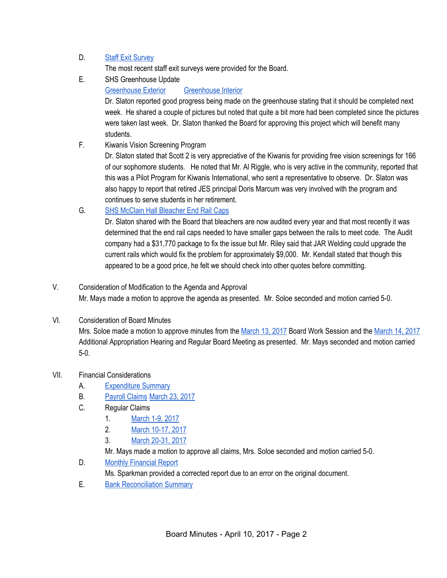## D. Staff Exit [Survey](https://docs.google.com/spreadsheets/d/1jsrz2Iix2pFjkdDjQYMPYhhU4jlBC6EAY89wl9Qzwtg/edit#gid=0)

The most recent staff exit surveys were provided for the Board.

- E. SHS Greenhouse Update
	- [Greenhouse](https://drive.google.com/file/d/0BxXvxnGh3EX1bWhzVmRJSHI0NDJ2eGRBMVppMWxGQ1d6a3dn/view) Exterior [Greenhouse](https://drive.google.com/file/d/0BxXvxnGh3EX1OHJpMFc2WDRMRnBMeUc3MV9iZjVDQU9lTXhV/view) Interior

Dr. Slaton reported good progress being made on the greenhouse stating that it should be completed next week. He shared a couple of pictures but noted that quite a bit more had been completed since the pictures were taken last week. Dr. Slaton thanked the Board for approving this project which will benefit many students.

F. Kiwanis Vision Screening Program

Dr. Slaton stated that Scott 2 is very appreciative of the Kiwanis for providing free vision screenings for 166 of our sophomore students. He noted that Mr. Al Riggle, who is very active in the community, reported that this was a Pilot Program for Kiwanis International, who sent a representative to observe. Dr. Slaton was also happy to report that retired JES principal Doris Marcum was very involved with the program and continues to serve students in her retirement.

## G. SHS McClain Hall [Bleacher](https://drive.google.com/file/d/0BxXvxnGh3EX1bWNYRjIzVmNpMUlIMnd4MzBZUm5MSGVfWTgw/view) End Rail Caps

Dr. Slaton shared with the Board that bleachers are now audited every year and that most recently it was determined that the end rail caps needed to have smaller gaps between the rails to meet code. The Audit company had a \$31,770 package to fix the issue but Mr. Riley said that JAR Welding could upgrade the current rails which would fix the problem for approximately \$9,000. Mr. Kendall stated that though this appeared to be a good price, he felt we should check into other quotes before committing.

# V. Consideration of Modification to the Agenda and Approval Mr. Mays made a motion to approve the agenda as presented. Mr. Soloe seconded and motion carried 5-0.

## VI. Consideration of Board Minutes

Mrs. Soloe made a motion to approve minutes from the [March](https://docs.google.com/document/d/1agnmySs8_HOBx9w-DoPduDJhdUZogXYN-32Aby9tYkY/edit) 13, 2017 Board Work Session and the [March](https://docs.google.com/document/d/1IBCOBn0BOT-Vutt10Mv6U9c_tZmsffC2Yq92e-VKDpE/edit) 14, 2017 Additional Appropriation Hearing and Regular Board Meeting as presented. Mr. Mays seconded and motion carried 5-0.

## VII. Financial Considerations

- A. [Expenditure](https://drive.google.com/file/d/0BxXvxnGh3EX1aGIzYUVRZE1famp1cGFvOFlwUnF5TFVuNzQ0/view) Summary
- B. [Payroll](https://drive.google.com/file/d/0BxXvxnGh3EX1S3dkMEJKbXJSTTZzY1lOOWRFcDJ4YlFUZGNF/view) Claims [March](https://drive.google.com/file/d/0BxXvxnGh3EX1RU9aV1hXRjJNUDVOUmVJalNXdEpjN1BhNHVN/view) 23, 2017
- C. Regular Claims
	- 1. [March](https://drive.google.com/file/d/0BxXvxnGh3EX1RmVHVk96SFQzcXFYOElfNnVUblNsVVRDQmU0/view) 1-9, 2017
	- 2. March [10-17,](https://drive.google.com/file/d/0BxXvxnGh3EX1Vnl6MXVZQkdhUW8tdmVIZGpoSS1mT19jZHpJ/view) 2017
	- 3. March [20-31,](https://drive.google.com/file/d/0BxXvxnGh3EX1M1N3VDc5N2tCeE1vWW1WaUZ2QmNMTVltcXpB/view) 2017

Mr. Mays made a motion to approve all claims, Mrs. Soloe seconded and motion carried 5-0.

D. Monthly [Financial](https://drive.google.com/file/d/0BxXvxnGh3EX1QTA1dmtoZzhldm9JU21FUVN5ajl5YWpRN1FJ/view) Report

Ms. Sparkman provided a corrected report due to an error on the original document.

E. Bank [Reconciliation](https://drive.google.com/file/d/0BxXvxnGh3EX1NGtlQzVleVRiT2ltclhVaEhIRi02MFNMaldN/view) Summary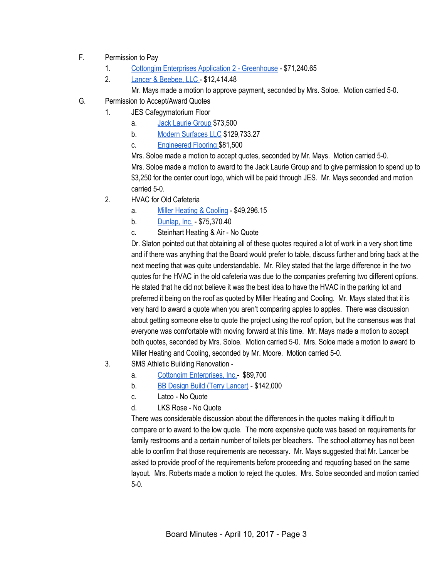- F. Permission to Pay
	- 1. Cottongim Enterprises Application 2 [Greenhouse](https://drive.google.com/file/d/0BxXvxnGh3EX1X3NKOWZ3YVg5bzdBMVFKY3IyUUt5SDJrS25J/view) \$71,240.65
	- 2. Lancer & [Beebee,](https://drive.google.com/file/d/0BxXvxnGh3EX1Y21oYnFsaHN3ZnFGZm1EQkJURW1yQWRNVmQ0/view) LLC \$12,414.48

Mr. Mays made a motion to approve payment, seconded by Mrs. Soloe. Motion carried 5-0.

- G. Permission to Accept/Award Quotes
	- 1. JES Cafegymatorium Floor
		- a. Jack [Laurie](https://drive.google.com/file/d/0BxXvxnGh3EX1RmswU0h4RUQyNWdIWk96UkZqZXp2UzY2OFRN/view) Group \$73,500
		- b. Modern [Surfaces](https://drive.google.com/file/d/0BxXvxnGh3EX1WGIxdU5iVTE1ZVJTTE84TUc2cmJhTk1hdFNV/view) LLC \$129,733.27
		- c. [Engineered](https://drive.google.com/file/d/0BxXvxnGh3EX1M1VvbS1MdUNqOE1ISFBLdTBPQkVaR3F0UGxB/view) Flooring \$81,500

Mrs. Soloe made a motion to accept quotes, seconded by Mr. Mays. Motion carried 5-0. Mrs. Soloe made a motion to award to the Jack Laurie Group and to give permission to spend up to \$3,250 for the center court logo, which will be paid through JES. Mr. Mays seconded and motion carried 5-0.

- 2. HVAC for Old Cafeteria
	- a. Miller [Heating](https://drive.google.com/file/d/0BxXvxnGh3EX1V2ptM3pFZnI5TjVmWEFZa0FSZnhhWW94X0h3/view) & Cooling \$49,296.15
	- b. [Dunlap,](https://drive.google.com/file/d/0BxXvxnGh3EX1SDg4ZmdxS2REdXI4TFpQX3BoSy1zZkRtT3VV/view) Inc. \$75,370.40
	- c. Steinhart Heating & Air No Quote

Dr. Slaton pointed out that obtaining all of these quotes required a lot of work in a very short time and if there was anything that the Board would prefer to table, discuss further and bring back at the next meeting that was quite understandable. Mr. Riley stated that the large difference in the two quotes for the HVAC in the old cafeteria was due to the companies preferring two different options. He stated that he did not believe it was the best idea to have the HVAC in the parking lot and preferred it being on the roof as quoted by Miller Heating and Cooling. Mr. Mays stated that it is very hard to award a quote when you aren't comparing apples to apples. There was discussion about getting someone else to quote the project using the roof option, but the consensus was that everyone was comfortable with moving forward at this time. Mr. Mays made a motion to accept both quotes, seconded by Mrs. Soloe. Motion carried 5-0. Mrs. Soloe made a motion to award to Miller Heating and Cooling, seconded by Mr. Moore. Motion carried 5-0.

- 3. SMS Athletic Building Renovation
	- a. Cottongim [Enterprises,](https://drive.google.com/file/d/0BxXvxnGh3EX1R1BrU1R5OTF5aDR6U3VvY3NVaFZvd1lTb2tF/view) Inc.- \$89,700
	- b. BB Design Build (Terry [Lancer\)](https://drive.google.com/file/d/0BxXvxnGh3EX1dmhTMmVNNXpOcGNpYWw3NFRVUTdPampxcms0/view) \$142,000
	- c. Latco No Quote
	- d. LKS Rose No Quote

There was considerable discussion about the differences in the quotes making it difficult to compare or to award to the low quote. The more expensive quote was based on requirements for family restrooms and a certain number of toilets per bleachers. The school attorney has not been able to confirm that those requirements are necessary. Mr. Mays suggested that Mr. Lancer be asked to provide proof of the requirements before proceeding and requoting based on the same layout. Mrs. Roberts made a motion to reject the quotes. Mrs. Soloe seconded and motion carried 5-0.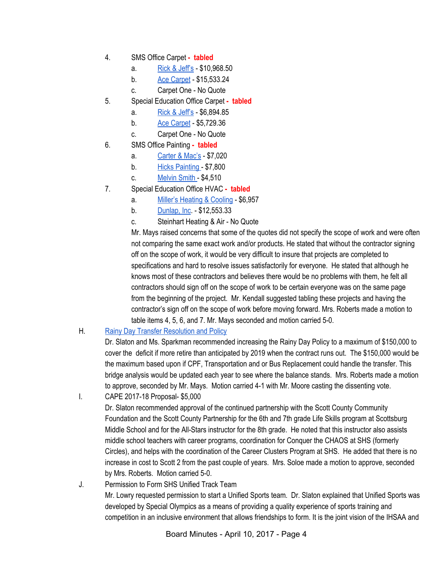- 4. SMS Office Carpet **- tabled**
	- a. Rick & [Jeff's](https://drive.google.com/file/d/0BxXvxnGh3EX1cldIa05GRlhaZXprdEpBd1UxUnZxd2oxSjBJ/view) \$10,968.50
	- b. Ace [Carpet](https://drive.google.com/file/d/0BxXvxnGh3EX1NFVXbDJNYXo0ODZ2cm5jZEpsYnFIb0gtSFlR/view) \$15,533.24
	- c. Carpet One No Quote
- 5. Special Education Office Carpet **- tabled**
	- a. Rick & [Jeff's](https://drive.google.com/file/d/0BxXvxnGh3EX1clU5OUFTbEdsZy1jWTFPckdvSmk1dkI3MjlZ/view) \$6,894.85
	- b. Ace [Carpet](https://drive.google.com/file/d/0BxXvxnGh3EX1cWFXeHR5QUFXd3dhUjI1czRrSFBmMnRUWlQ0/view) \$5,729.36
	- c. Carpet One No Quote
- 6. SMS Office Painting **- tabled**
	- a. [Carter](https://drive.google.com/file/d/0BxXvxnGh3EX1elFUdjFNX01JWk4weFpPOTUzaHBPcGc5ak9r/view) & Mac's \$7,020
	- b. Hicks [Painting](https://drive.google.com/file/d/0BxXvxnGh3EX1TEhrZFFjU01IS2t2VVpueWdzS2ZwQm5aNTE0/view) \$7,800
	- c. [Melvin](https://drive.google.com/file/d/0BxXvxnGh3EX1TGRtN2l3UVRleHBiQkZpZUkzVjJqa0lCcjlF/view) Smith \$4,510
- 7. Special Education Office HVAC **- tabled**
	- a. Miller's [Heating](https://drive.google.com/file/d/0BxXvxnGh3EX1SjU1ZTNTUEU2NklMRnU3S1ZfWmJqMVFPMXdV/view) & Cooling \$6,957
	- b. [Dunlap,](https://drive.google.com/file/d/0BxXvxnGh3EX1QldCN0JaWWdadWN1U3FRMTA1Skh5NGZWWE9j/view) Inc. \$12,553.33
	- c. Steinhart Heating & Air No Quote

Mr. Mays raised concerns that some of the quotes did not specify the scope of work and were often not comparing the same exact work and/or products. He stated that without the contractor signing off on the scope of work, it would be very difficult to insure that projects are completed to specifications and hard to resolve issues satisfactorily for everyone. He stated that although he knows most of these contractors and believes there would be no problems with them, he felt all contractors should sign off on the scope of work to be certain everyone was on the same page from the beginning of the project. Mr. Kendall suggested tabling these projects and having the contractor's sign off on the scope of work before moving forward. Mrs. Roberts made a motion to table items 4, 5, 6, and 7. Mr. Mays seconded and motion carried 5-0.

## H. Rainy Day Transfer [Resolution](https://drive.google.com/file/d/0BxXvxnGh3EX1N3hnWjAyanF6eFlzMi0teU4zdF9aeFhWNkx3/view) and Policy

Dr. Slaton and Ms. Sparkman recommended increasing the Rainy Day Policy to a maximum of \$150,000 to cover the deficit if more retire than anticipated by 2019 when the contract runs out. The \$150,000 would be the maximum based upon if CPF, Transportation and or Bus Replacement could handle the transfer. This bridge analysis would be updated each year to see where the balance stands. Mrs. Roberts made a motion to approve, seconded by Mr. Mays. Motion carried 4-1 with Mr. Moore casting the dissenting vote.

I. CAPE 2017-18 Proposal- \$5,000

Dr. Slaton recommended approval of the continued partnership with the Scott County Community Foundation and the Scott County Partnership for the 6th and 7th grade Life Skills program at Scottsburg Middle School and for the All-Stars instructor for the 8th grade. He noted that this instructor also assists middle school teachers with career programs, coordination for Conquer the CHAOS at SHS (formerly Circles), and helps with the coordination of the Career Clusters Program at SHS. He added that there is no increase in cost to Scott 2 from the past couple of years. Mrs. Soloe made a motion to approve, seconded by Mrs. Roberts. Motion carried 5-0.

J. Permission to Form SHS Unified Track Team Mr. Lowry requested permission to start a Unified Sports team. Dr. Slaton explained that Unified Sports was developed by Special Olympics as a means of providing a quality experience of sports training and competition in an inclusive environment that allows friendships to form. It is the joint vision of the IHSAA and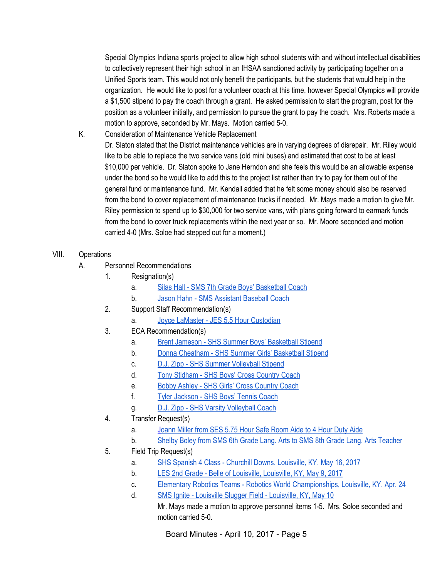Special Olympics Indiana sports project to allow high school students with and without intellectual disabilities to collectively represent their high school in an IHSAA sanctioned activity by participating together on a Unified Sports team. This would not only benefit the participants, but the students that would help in the organization. He would like to post for a volunteer coach at this time, however Special Olympics will provide a \$1,500 stipend to pay the coach through a grant. He asked permission to start the program, post for the position as a volunteer initially, and permission to pursue the grant to pay the coach. Mrs. Roberts made a motion to approve, seconded by Mr. Mays. Motion carried 5-0.

- K. Consideration of Maintenance Vehicle Replacement Dr. Slaton stated that the District maintenance vehicles are in varying degrees of disrepair. Mr. Riley would like to be able to replace the two service vans (old mini buses) and estimated that cost to be at least \$10,000 per vehicle. Dr. Slaton spoke to Jane Herndon and she feels this would be an allowable expense under the bond so he would like to add this to the project list rather than try to pay for them out of the general fund or maintenance fund. Mr. Kendall added that he felt some money should also be reserved from the bond to cover replacement of maintenance trucks if needed. Mr. Mays made a motion to give Mr. Riley permission to spend up to \$30,000 for two service vans, with plans going forward to earmark funds from the bond to cover truck replacements within the next year or so. Mr. Moore seconded and motion carried 4-0 (Mrs. Soloe had stepped out for a moment.)
- VIII. Operations
	- A. Personnel Recommendations
		- 1. Resignation(s)
			- a. Silas Hall SMS 7th Grade Boys' [Basketball](https://drive.google.com/file/d/0BxXvxnGh3EX1X1VLaHdBMG13VEtVbUVjaEhMREJXejZoYlM0/view) Coach
			- b. Jason Hahn SMS [Assistant](https://drive.google.com/file/d/0BxXvxnGh3EX1WEpzRWlaM2ZxN3N3NnZCSjFyWnJUU21KZEpj/view) Baseball Coach
		- 2. Support Staff Recommendation(s)
			- a. Joyce LaMaster JES 5.5 Hour [Custodian](https://drive.google.com/file/d/0BxXvxnGh3EX1MGhOMEUtajRMYlJrMjg2UlF0MFk1QjdramVZ/view)
		- 3. ECA Recommendation(s)
			- a. Brent Jameson SHS Summer Boys' [Basketball](https://drive.google.com/file/d/0BxXvxnGh3EX1SXhLWElFMFYtb1ZNOFlOeEJpb0RhRElmd2pn/view) Stipend
			- b. Donna Cheatham SHS Summer Girls' [Basketball](https://drive.google.com/file/d/0BxXvxnGh3EX1VzVHbEk1TkFFOWZEYXF0N2VDdkhlelppeHhZ/view) Stipend
			- c. D.J. Zipp SHS Summer [Volleyball](https://drive.google.com/file/d/0BxXvxnGh3EX1SjRrMjVBZjRVbXMzT1YxWW5Mc05RemFnYVVn/view) Stipend
			- d. Tony [Stidham](https://drive.google.com/file/d/0BxXvxnGh3EX1bTRXWEVER0lKWlJZbmw4em02RWx4ZFlrR1Rn/view) SHS Boys' Cross Country Coach
			- e. Bobby Ashley SHS Girls' Cross [Country](https://drive.google.com/file/d/0BxXvxnGh3EX1OVljQlQ2NVhPQ2hwYXE3NE1NSFFQN3RDRlRZ/view) Coach
			- f. Tyler [Jackson](https://drive.google.com/file/d/0BxXvxnGh3EX1c2VqaVA3SVJ0TkRLcUNlNkVPOWM2SS0zSnJV/view) SHS Boys' Tennis Coach
			- g. D.J. Zipp SHS Varsity [Volleyball](https://drive.google.com/file/d/0BxXvxnGh3EX1WEVuY0l3TEtXT2p1d0M0NGJka2hLZWlOZjZN/view) Coach
		- 4. Transfer Request(s)
			- a. Joann Miller from SES 5.75 Hour Safe [Room](https://drive.google.com/file/d/0BxXvxnGh3EX1Y0txYWQyV09sUmkxZDJyNkh2ZFBwa0NadGhJ/view) Aide to 4 Hour Duty Aide
			- b. Shelby Boley from SMS 6th Grade Lang. Arts to SMS 8th Grade Lang. Arts [Teacher](https://drive.google.com/file/d/0BxXvxnGh3EX1S2tTSFJoTnV2U2pQaVZ6NFNaSmhFbTVGQkJn/view)
		- 5. Field Trip Request(s)
			- a. SHS Spanish 4 Class Churchill Downs, [Louisville,](https://drive.google.com/file/d/0BxXvxnGh3EX1OU8yc1VEQlZOc0JIcFo3U0FWZUoxaTRoaF93/view) KY, May 16, 2017
			- b. LES 2nd Grade Belle of [Louisville,](https://drive.google.com/file/d/0BxXvxnGh3EX1NE4yOUlBdmFGS1ZPd0JxRW9KQkF1X01HZ3Mw/view) Louisville, KY, May 9, 2017
			- c. Elementary Robotics Teams Robotics World [Championships,](https://drive.google.com/file/d/0BxXvxnGh3EX1a2ZmdjAyZW5uVjJ4bVZtQkJHREJKc0ZqbUFR/view) Louisville, KY, Apr. 24
			- d. SMS Ignite Louisville Slugger Field [Louisville,](https://drive.google.com/file/d/0BxXvxnGh3EX1Y1FLN1EwRXRycTdwbkpzUmRkM2lrbnZPZXBN/view) KY, May 10

Mr. Mays made a motion to approve personnel items 1-5. Mrs. Soloe seconded and motion carried 5-0.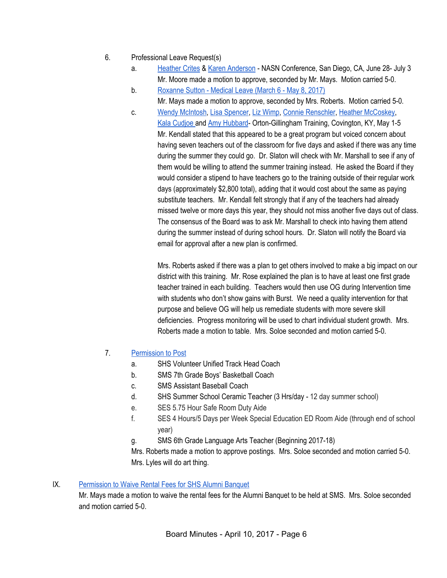- 6. Professional Leave Request(s)
	- a. [Heather](https://drive.google.com/file/d/0BxXvxnGh3EX1b0VSU0JCZENFYzVoSXhWNzdxNjhrSGpoTFNr/view) Crites & Karen [Anderson](https://drive.google.com/file/d/0BxXvxnGh3EX1QzRCNnVFR0EtQ202M3p3QlVtMFNoZHJhS3JJ/view) NASN Conference, San Diego, CA, June 28- July 3 Mr. Moore made a motion to approve, seconded by Mr. Mays. Motion carried 5-0.
	- b. [Roxanne](https://drive.google.com/file/d/0BxXvxnGh3EX1SzNEdW1VQ1NtT2xpTnREUXJhWU5seXRYY05v/view) Sutton Medical Leave (March 6 May 8, 2017)
		- Mr. Mays made a motion to approve, seconded by Mrs. Roberts. Motion carried 5-0.
	- c. Wendy [McIntosh,](https://drive.google.com/file/d/0BxXvxnGh3EX1MHlvY0VObDNBNGh3dzVJakNaZUtORC1hdnhr/view) Lisa [Spencer,](https://drive.google.com/file/d/0BxXvxnGh3EX1OHp2blpZSnFqbklkSWlYY25TWW1sR0hsV040/view) Liz [Wimp,](https://drive.google.com/file/d/0BxXvxnGh3EX1eWJ1U2tDOVlzYlNfVF9XdV8xckhZd2oyeTQ0/view) Connie [Renschler,](https://drive.google.com/file/d/0BxXvxnGh3EX1cjZXaVFzUEhKUVE3Z21abGZGd29HOE1XQXZr/view) Heather [McCoskey,](https://drive.google.com/file/d/0BxXvxnGh3EX1a0V5cDh5bjBubk94SGVVX0Ffa2VVNC1ncFN3/view) Kala [Cudjoe](https://drive.google.com/file/d/0BxXvxnGh3EX1Wm1Bb3lPUC1rUnF6SVhhaTZqaUhqNzFudE1R/view) and Amy [Hubbard](https://drive.google.com/file/d/0BxXvxnGh3EX1SzNPcnkzcE9WUFRsNjE3RjI0enpnUHF5N1o4/view)- Orton-Gillingham Training, Covington, KY, May 1-5 Mr. Kendall stated that this appeared to be a great program but voiced concern about having seven teachers out of the classroom for five days and asked if there was any time during the summer they could go. Dr. Slaton will check with Mr. Marshall to see if any of them would be willing to attend the summer training instead. He asked the Board if they would consider a stipend to have teachers go to the training outside of their regular work days (approximately \$2,800 total), adding that it would cost about the same as paying substitute teachers. Mr. Kendall felt strongly that if any of the teachers had already missed twelve or more days this year, they should not miss another five days out of class. The consensus of the Board was to ask Mr. Marshall to check into having them attend during the summer instead of during school hours. Dr. Slaton will notify the Board via email for approval after a new plan is confirmed.

Mrs. Roberts asked if there was a plan to get others involved to make a big impact on our district with this training. Mr. Rose explained the plan is to have at least one first grade teacher trained in each building. Teachers would then use OG during Intervention time with students who don't show gains with Burst. We need a quality intervention for that purpose and believe OG will help us remediate students with more severe skill deficiencies. Progress monitoring will be used to chart individual student growth. Mrs. Roberts made a motion to table. Mrs. Soloe seconded and motion carried 5-0.

- 7. [Permission](https://docs.google.com/document/d/1xnvH04m9Bo7xR3dkk6fcFrBjxh2NUpIp3le_R8W3MZY/edit) to Post
	- a. SHS Volunteer Unified Track Head Coach
	- b. SMS 7th Grade Boys' Basketball Coach
	- c. SMS Assistant Baseball Coach
	- d. SHS Summer School Ceramic Teacher (3 Hrs/day 12 day summer school)
	- e. SES 5.75 Hour Safe Room Duty Aide
	- f. SES 4 Hours/5 Days per Week Special Education ED Room Aide (through end of school year)
	- g. SMS 6th Grade Language Arts Teacher (Beginning 2017-18)

Mrs. Roberts made a motion to approve postings. Mrs. Soloe seconded and motion carried 5-0. Mrs. Lyles will do art thing.

#### IX. [Permission](https://drive.google.com/file/d/0BxXvxnGh3EX1LVlSZ1VmZDNNc2ptcDY0UkZIbnFDMlFwRjFr/view) to Waive Rental Fees for SHS Alumni Banquet

Mr. Mays made a motion to waive the rental fees for the Alumni Banquet to be held at SMS. Mrs. Soloe seconded and motion carried 5-0.